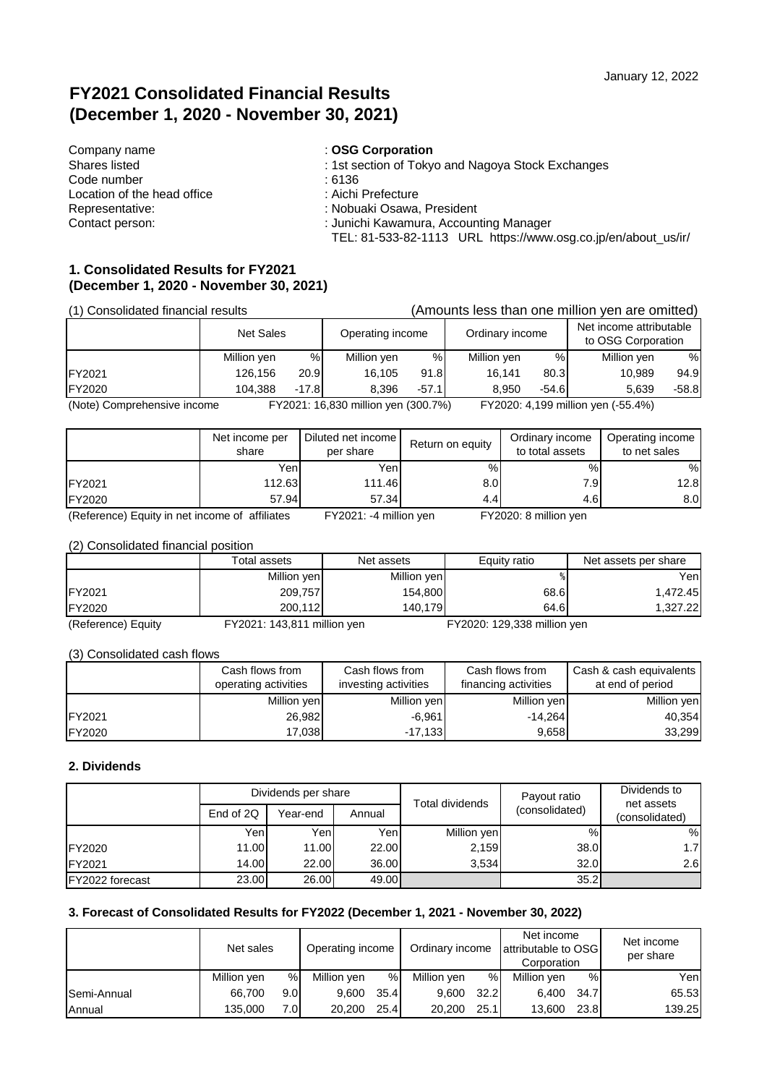# **FY2021 Consolidated Financial Results (December 1, 2020 - November 30, 2021)**

| Company name                | : OSG Corporation                                             |
|-----------------------------|---------------------------------------------------------------|
| Shares listed               | : 1st section of Tokyo and Nagoya Stock Exchanges             |
| Code number                 | : 6136                                                        |
| Location of the head office | : Aichi Prefecture                                            |
| Representative:             | : Nobuaki Osawa, President                                    |
| Contact person:             | : Junichi Kawamura, Accounting Manager                        |
|                             | TEL: 81-533-82-1113 URL https://www.osg.co.jp/en/about us/ir/ |

### **1. Consolidated Results for FY2021 (December 1, 2020 - November 30, 2021)**

| (1) Consolidated financial results                                        |             |                  |                                      |                  |             |                 | (Amounts less than one million yen are omitted) |                                               |  |
|---------------------------------------------------------------------------|-------------|------------------|--------------------------------------|------------------|-------------|-----------------|-------------------------------------------------|-----------------------------------------------|--|
|                                                                           |             | <b>Net Sales</b> |                                      | Operating income |             | Ordinary income |                                                 | Net income attributable<br>to OSG Corporation |  |
|                                                                           | Million yen | %                | Million yen                          | %                | Million yen | %               | Million yen                                     | %                                             |  |
| FY2021                                                                    | 126.156     | 20.9             | 16.105                               | 91.8             | 16.141      | 80.3            | 10.989                                          | 94.9                                          |  |
| <b>FY2020</b>                                                             | 104.388     | $-17.8$          | $-57.1$<br>$-54.6$<br>8.396<br>8.950 |                  | 5.639       | $-58.8$         |                                                 |                                               |  |
| (Nota) Comprehensive income<br>$EV2021 \cdot 16.830$ million von (300.7%) |             |                  |                                      |                  |             |                 | $EV2020 \cdot A$ 1.00 million von ( $55.49($ )  |                                               |  |

(Note) Comprehensive income FY2021: 16,830 million yen (300.7%) FY2020: 4,199 million yen (-55.4%)

|                           | Net income per<br>share | Diluted net income<br>per share | Return on equity | Ordinary income<br>to total assets | Operating income<br>to net sales |
|---------------------------|-------------------------|---------------------------------|------------------|------------------------------------|----------------------------------|
|                           | Yenl                    | Yenl                            | %                | %                                  | %                                |
| FY2021                    | 112.63                  | 111.46                          | 8.0 <sub>l</sub> | 7.9I                               | 12.8                             |
| FY2020                    | 57.94                   | 57.34                           | 4.4              | 4.6                                | 8.0 <sub>l</sub>                 |
| $\sim$ $\sim$<br>$-$<br>. | -----                   | _______<br>.                    |                  | .<br>________                      |                                  |

(Reference) Equity in net income of affiliates FY2021: -4 million yen FY2020: 8 million yen

#### (2) Consolidated financial position

|                    | Total assets                | Net assets  | Equity ratio                | Net assets per share |
|--------------------|-----------------------------|-------------|-----------------------------|----------------------|
|                    | Million yen                 | Million yen |                             | Yenl                 |
| FY2021             | 209,757                     | 154,800     | 68.6                        | 1.472.45             |
| <b>FY2020</b>      | 200.112                     | 140.179     | 64.6                        | 1.327.22             |
| (Reference) Equity | FY2021: 143,811 million yen |             | FY2020: 129,338 million yen |                      |

(3) Consolidated cash flows

|                | Cash flows from<br>operating activities | Cash flows from<br>investing activities | Cash flows from<br>financing activities | Cash & cash equivalents<br>at end of period |
|----------------|-----------------------------------------|-----------------------------------------|-----------------------------------------|---------------------------------------------|
|                | Million yen                             | Million yen                             | Million yen                             | Million yen                                 |
| <b>IFY2021</b> | 26,982                                  | $-6.961$                                | $-14.264$                               | 40,354                                      |
| <b>FY2020</b>  | 17,038                                  | $-17,133$                               | 9,658                                   | 33,299                                      |

#### **2. Dividends**

|                 | Dividends per share |          |        | Total dividends | Payout ratio   | Dividends to<br>net assets |
|-----------------|---------------------|----------|--------|-----------------|----------------|----------------------------|
|                 | End of 2Q           | Year-end | Annual |                 | (consolidated) | (consolidated)             |
|                 | Yenl                | Yenl     | Yeni   | Million yen     | $\%$           | %                          |
| FY2020          | 11.00               | 11.00    | 22.00  | 2.159           | 38.0           | 1.7 <sub>l</sub>           |
| FY2021          | 14.00               | 22.00    | 36.00  | 3.534           | 32.0           | 2.61                       |
| FY2022 forecast | 23.00               | 26.00    | 49.00  |                 | 35.2           |                            |

### **3. Forecast of Consolidated Results for FY2022 (December 1, 2021 - November 30, 2022)**

|             | Net sales   |                  | Operating income |      | Ordinary income |      | Net income<br>attributable to OSG<br>Corporation |      | Net income<br>per share |
|-------------|-------------|------------------|------------------|------|-----------------|------|--------------------------------------------------|------|-------------------------|
|             | Million yen | %                | Million ven      | %    | Million ven     | %    | Million ven                                      | %    | Yenl                    |
| Semi-Annual | 66.700      | 9.0 <sub>l</sub> | 9.600            | 35.4 | 9.600           | 32.2 | 6.400                                            | 34.7 | 65.53                   |
| Annual      | 135,000     | 7.OI             | 20,200           | 25.4 | 20,200          | 25.1 | 13.600                                           | 23.8 | 139.25                  |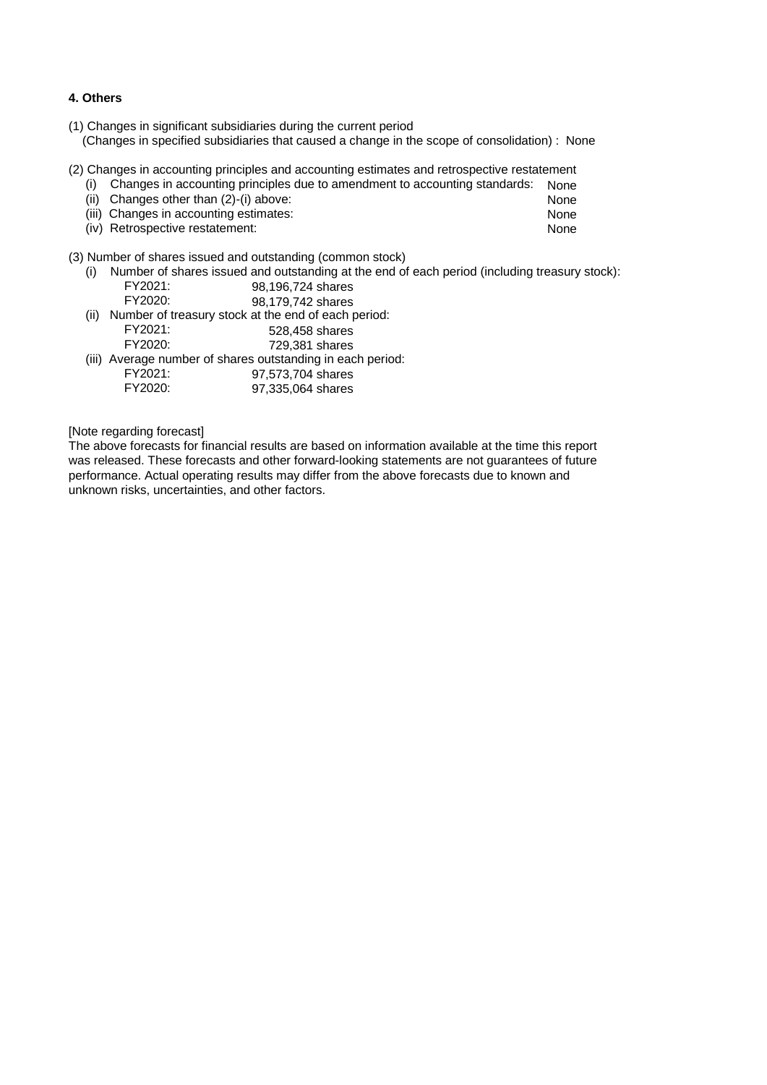#### **4. Others**

- (1) Changes in significant subsidiaries during the current period (Changes in specified subsidiaries that caused a change in the scope of consolidation) : None
- (2) Changes in accounting principles and accounting estimates and retrospective restatement
	- (i) Changes in accounting principles due to amendment to accounting standards: None
	- (ii) Changes other than (2)-(i) above: None<br>
	(iii) Changes in accounting estimates: None
	- (iii) Changes in accounting estimates: None<br>(iv) Retrospective restatement: None
	- (iv) Retrospective restatement:

(3) Number of shares issued and outstanding (common stock)

- (i) Number of shares issued and outstanding at the end of each period (including treasury stock): FY2021: 98,196,724 shares<br>FY2020: 98.179.742 shares
- 98,179,742 shares (ii) Number of treasury stock at the end of each period: FY2021: 528,458 shares 729,381 shares (iii) Average number of shares outstanding in each period:
- FY2021: 97,573,704 shares<br>FY2020: 97.335.064 shares 97,335,064 shares

[Note regarding forecast]

The above forecasts for financial results are based on information available at the time this report was released. These forecasts and other forward-looking statements are not guarantees of future performance. Actual operating results may differ from the above forecasts due to known and unknown risks, uncertainties, and other factors.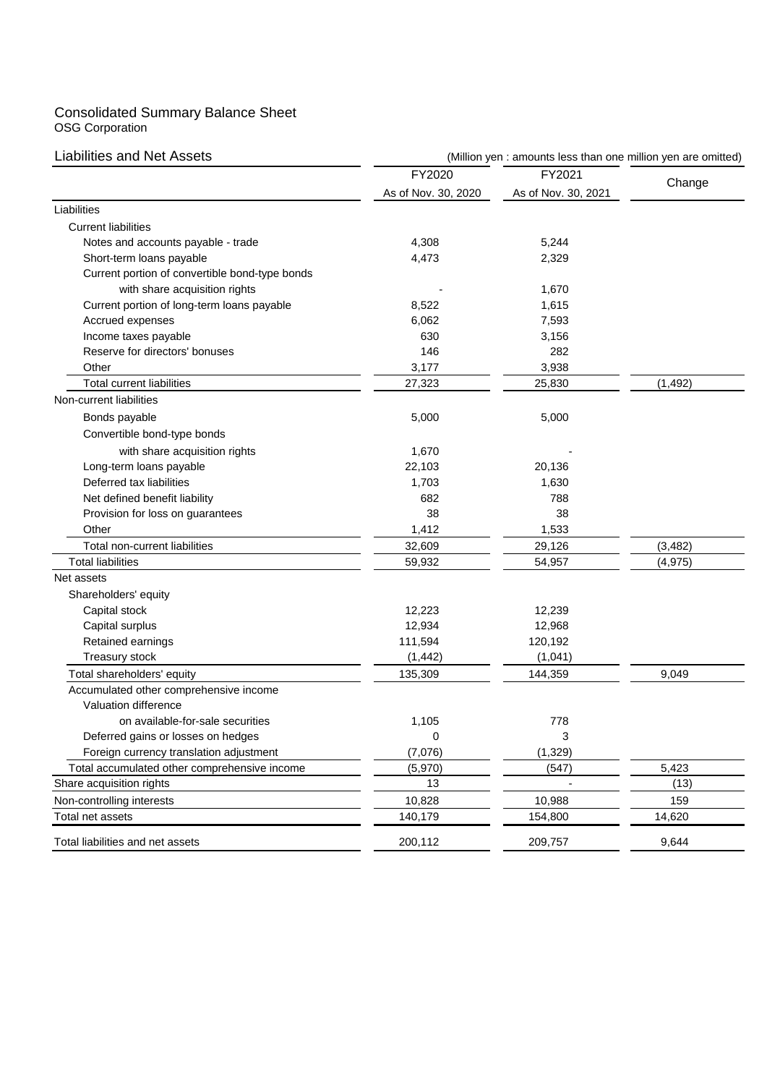#### Consolidated Summary Balance Sheet OSG Corporation

| <b>Liabilities and Net Assets</b>              | (Million yen : amounts less than one million yen are omitted) |                     |          |  |  |  |
|------------------------------------------------|---------------------------------------------------------------|---------------------|----------|--|--|--|
|                                                | FY2020                                                        | FY2021              |          |  |  |  |
|                                                | As of Nov. 30, 2020                                           | As of Nov. 30, 2021 | Change   |  |  |  |
| Liabilities                                    |                                                               |                     |          |  |  |  |
| <b>Current liabilities</b>                     |                                                               |                     |          |  |  |  |
| Notes and accounts payable - trade             | 4,308                                                         | 5,244               |          |  |  |  |
| Short-term loans payable                       | 4,473                                                         | 2,329               |          |  |  |  |
| Current portion of convertible bond-type bonds |                                                               |                     |          |  |  |  |
| with share acquisition rights                  |                                                               | 1,670               |          |  |  |  |
| Current portion of long-term loans payable     | 8,522                                                         | 1,615               |          |  |  |  |
| Accrued expenses                               | 6,062                                                         | 7,593               |          |  |  |  |
| Income taxes payable                           | 630                                                           | 3,156               |          |  |  |  |
| Reserve for directors' bonuses                 | 146                                                           | 282                 |          |  |  |  |
| Other                                          | 3,177                                                         | 3,938               |          |  |  |  |
| <b>Total current liabilities</b>               | 27,323                                                        | 25,830              | (1, 492) |  |  |  |
| Non-current liabilities                        |                                                               |                     |          |  |  |  |
| Bonds payable                                  | 5,000                                                         | 5,000               |          |  |  |  |
| Convertible bond-type bonds                    |                                                               |                     |          |  |  |  |
| with share acquisition rights                  | 1,670                                                         |                     |          |  |  |  |
| Long-term loans payable                        | 22,103                                                        | 20,136              |          |  |  |  |
| Deferred tax liabilities                       | 1,703                                                         | 1,630               |          |  |  |  |
| Net defined benefit liability                  | 682                                                           | 788                 |          |  |  |  |
| Provision for loss on guarantees               | 38                                                            | 38                  |          |  |  |  |
| Other                                          | 1,412                                                         | 1,533               |          |  |  |  |
| Total non-current liabilities                  | 32,609                                                        | 29,126              | (3, 482) |  |  |  |
| <b>Total liabilities</b>                       | 59,932                                                        | 54,957              | (4, 975) |  |  |  |
| Net assets                                     |                                                               |                     |          |  |  |  |
| Shareholders' equity                           |                                                               |                     |          |  |  |  |
| Capital stock                                  | 12,223                                                        | 12,239              |          |  |  |  |
| Capital surplus                                | 12,934                                                        | 12,968              |          |  |  |  |
| Retained earnings                              | 111,594                                                       | 120,192             |          |  |  |  |
| <b>Treasury stock</b>                          | (1, 442)                                                      | (1,041)             |          |  |  |  |
| Total shareholders' equity                     | 135,309                                                       | 144,359             | 9,049    |  |  |  |
| Accumulated other comprehensive income         |                                                               |                     |          |  |  |  |
| Valuation difference                           |                                                               |                     |          |  |  |  |
| on available-for-sale securities               | 1,105                                                         | 778                 |          |  |  |  |
| Deferred gains or losses on hedges             | 0                                                             | 3                   |          |  |  |  |
| Foreign currency translation adjustment        | (7,076)                                                       | (1, 329)            |          |  |  |  |
| Total accumulated other comprehensive income   | (5,970)                                                       | (547)               | 5,423    |  |  |  |
| Share acquisition rights                       | 13                                                            |                     | (13)     |  |  |  |
| Non-controlling interests                      | 10,828                                                        | 10,988              | 159      |  |  |  |
| Total net assets                               | 140,179                                                       | 154,800             | 14,620   |  |  |  |
| Total liabilities and net assets               | 200,112                                                       | 209,757             | 9,644    |  |  |  |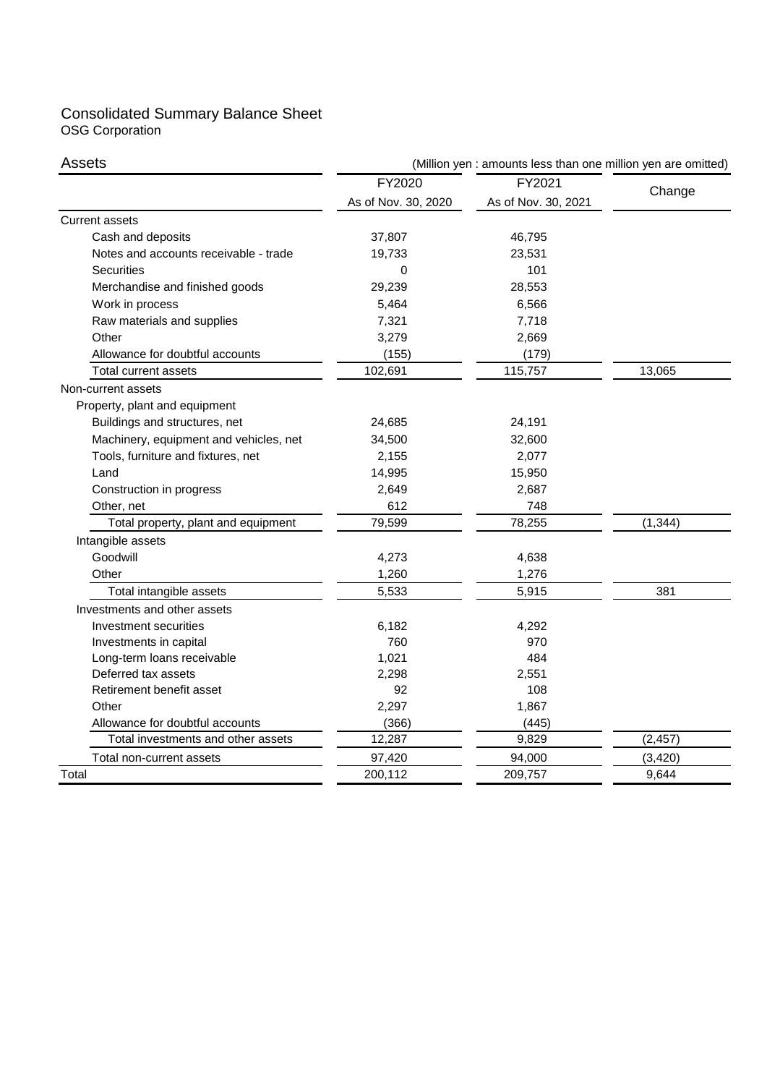# Consolidated Summary Balance Sheet OSG Corporation

| Assets                                 | (Million yen : amounts less than one million yen are omitted) |                     |          |  |  |
|----------------------------------------|---------------------------------------------------------------|---------------------|----------|--|--|
|                                        | FY2020                                                        | FY2021              |          |  |  |
|                                        | As of Nov. 30, 2020                                           | As of Nov. 30, 2021 | Change   |  |  |
| <b>Current assets</b>                  |                                                               |                     |          |  |  |
| Cash and deposits                      | 37,807                                                        | 46,795              |          |  |  |
| Notes and accounts receivable - trade  | 19,733                                                        | 23,531              |          |  |  |
| Securities                             | 0                                                             | 101                 |          |  |  |
| Merchandise and finished goods         | 29,239                                                        | 28,553              |          |  |  |
| Work in process                        | 5,464                                                         | 6,566               |          |  |  |
| Raw materials and supplies             | 7,321                                                         | 7,718               |          |  |  |
| Other                                  | 3,279                                                         | 2,669               |          |  |  |
| Allowance for doubtful accounts        | (155)                                                         | (179)               |          |  |  |
| Total current assets                   | 102,691                                                       | 115,757             | 13,065   |  |  |
| Non-current assets                     |                                                               |                     |          |  |  |
| Property, plant and equipment          |                                                               |                     |          |  |  |
| Buildings and structures, net          | 24,685                                                        | 24,191              |          |  |  |
| Machinery, equipment and vehicles, net | 34,500                                                        | 32,600              |          |  |  |
| Tools, furniture and fixtures, net     | 2,155                                                         | 2,077               |          |  |  |
| Land                                   | 14,995                                                        | 15,950              |          |  |  |
| Construction in progress               | 2,649                                                         | 2,687               |          |  |  |
| Other, net                             | 612                                                           | 748                 |          |  |  |
| Total property, plant and equipment    | 79,599                                                        | 78,255              | (1, 344) |  |  |
| Intangible assets                      |                                                               |                     |          |  |  |
| Goodwill                               | 4,273                                                         | 4,638               |          |  |  |
| Other                                  | 1,260                                                         | 1,276               |          |  |  |
| Total intangible assets                | 5,533                                                         | 5,915               | 381      |  |  |
| Investments and other assets           |                                                               |                     |          |  |  |
| Investment securities                  | 6,182                                                         | 4,292               |          |  |  |
| Investments in capital                 | 760                                                           | 970                 |          |  |  |
| Long-term loans receivable             | 1,021                                                         | 484                 |          |  |  |
| Deferred tax assets                    | 2,298                                                         | 2,551               |          |  |  |
| Retirement benefit asset               | 92                                                            | 108                 |          |  |  |
| Other                                  | 2,297                                                         | 1,867               |          |  |  |
| Allowance for doubtful accounts        | (366)                                                         | (445)               |          |  |  |
| Total investments and other assets     | 12,287                                                        | 9,829               | (2, 457) |  |  |
| Total non-current assets               | 97,420                                                        | 94,000              | (3, 420) |  |  |
| Total                                  | 200,112                                                       | 209,757             | 9,644    |  |  |
|                                        |                                                               |                     |          |  |  |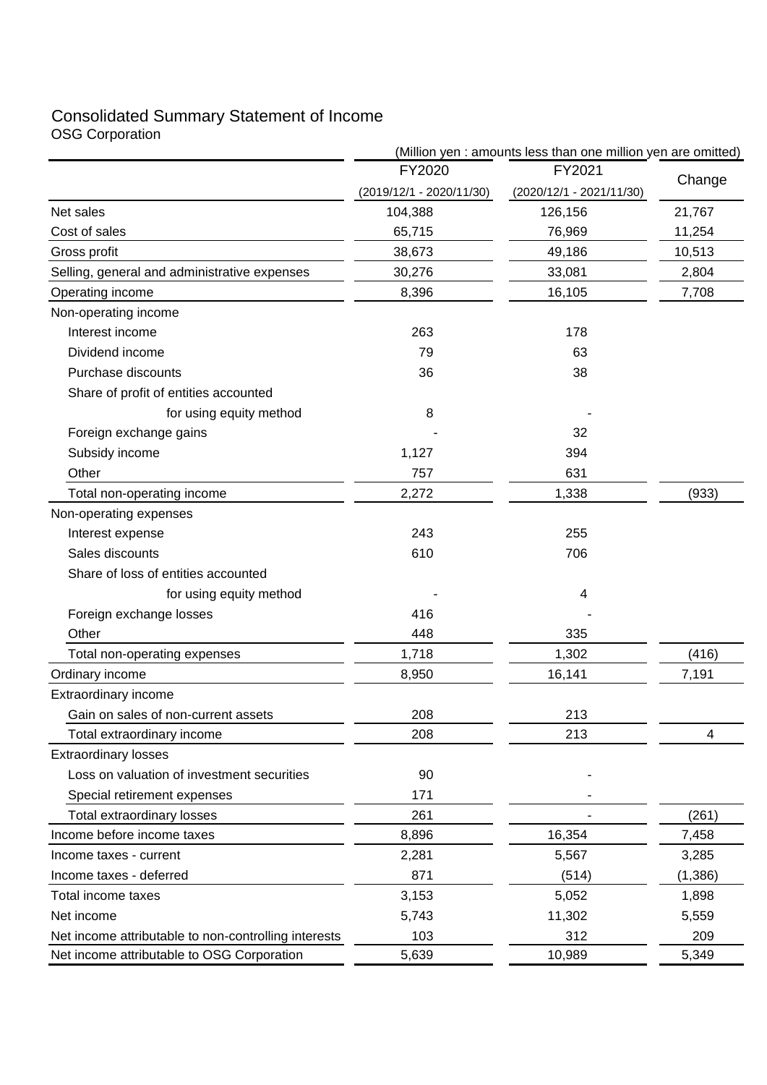# Consolidated Summary Statement of Income OSG Corporation

|                                                      | (Million yen : amounts less than one million yen are omitted) |                            |          |  |  |
|------------------------------------------------------|---------------------------------------------------------------|----------------------------|----------|--|--|
|                                                      | FY2020                                                        | FY2021                     | Change   |  |  |
|                                                      | (2019/12/1 - 2020/11/30)                                      | $(2020/12/1 - 2021/11/30)$ |          |  |  |
| Net sales                                            | 104,388                                                       | 126,156                    | 21,767   |  |  |
| Cost of sales                                        | 65,715                                                        | 76,969                     | 11,254   |  |  |
| Gross profit                                         | 38,673                                                        | 49,186                     | 10,513   |  |  |
| Selling, general and administrative expenses         | 30,276                                                        | 33,081                     | 2,804    |  |  |
| Operating income                                     | 8,396                                                         | 16,105                     | 7,708    |  |  |
| Non-operating income                                 |                                                               |                            |          |  |  |
| Interest income                                      | 263                                                           | 178                        |          |  |  |
| Dividend income                                      | 79                                                            | 63                         |          |  |  |
| Purchase discounts                                   | 36                                                            | 38                         |          |  |  |
| Share of profit of entities accounted                |                                                               |                            |          |  |  |
| for using equity method                              | 8                                                             |                            |          |  |  |
| Foreign exchange gains                               |                                                               | 32                         |          |  |  |
| Subsidy income                                       | 1,127                                                         | 394                        |          |  |  |
| Other                                                | 757                                                           | 631                        |          |  |  |
| Total non-operating income                           | 2,272                                                         | 1,338                      | (933)    |  |  |
| Non-operating expenses                               |                                                               |                            |          |  |  |
| Interest expense                                     | 243                                                           | 255                        |          |  |  |
| Sales discounts                                      | 610                                                           | 706                        |          |  |  |
| Share of loss of entities accounted                  |                                                               |                            |          |  |  |
| for using equity method                              |                                                               | 4                          |          |  |  |
| Foreign exchange losses                              | 416                                                           |                            |          |  |  |
| Other                                                | 448                                                           | 335                        |          |  |  |
| Total non-operating expenses                         | 1,718                                                         | 1,302                      | (416)    |  |  |
| Ordinary income                                      | 8,950                                                         | 16,141                     | 7,191    |  |  |
| Extraordinary income                                 |                                                               |                            |          |  |  |
| Gain on sales of non-current assets                  | 208                                                           | 213                        |          |  |  |
| Total extraordinary income                           | 208                                                           | 213                        | 4        |  |  |
| <b>Extraordinary losses</b>                          |                                                               |                            |          |  |  |
| Loss on valuation of investment securities           | 90                                                            |                            |          |  |  |
| Special retirement expenses                          | 171                                                           |                            |          |  |  |
| Total extraordinary losses                           | 261                                                           |                            | (261)    |  |  |
| Income before income taxes                           | 8,896                                                         | 16,354                     | 7,458    |  |  |
| Income taxes - current                               | 2,281                                                         | 5,567                      | 3,285    |  |  |
| Income taxes - deferred                              | 871                                                           | (514)                      | (1, 386) |  |  |
| Total income taxes                                   | 3,153                                                         | 5,052                      | 1,898    |  |  |
| Net income                                           | 5,743                                                         | 11,302                     | 5,559    |  |  |
| Net income attributable to non-controlling interests | 103                                                           | 312                        | 209      |  |  |
| Net income attributable to OSG Corporation           | 5,639                                                         | 10,989                     | 5,349    |  |  |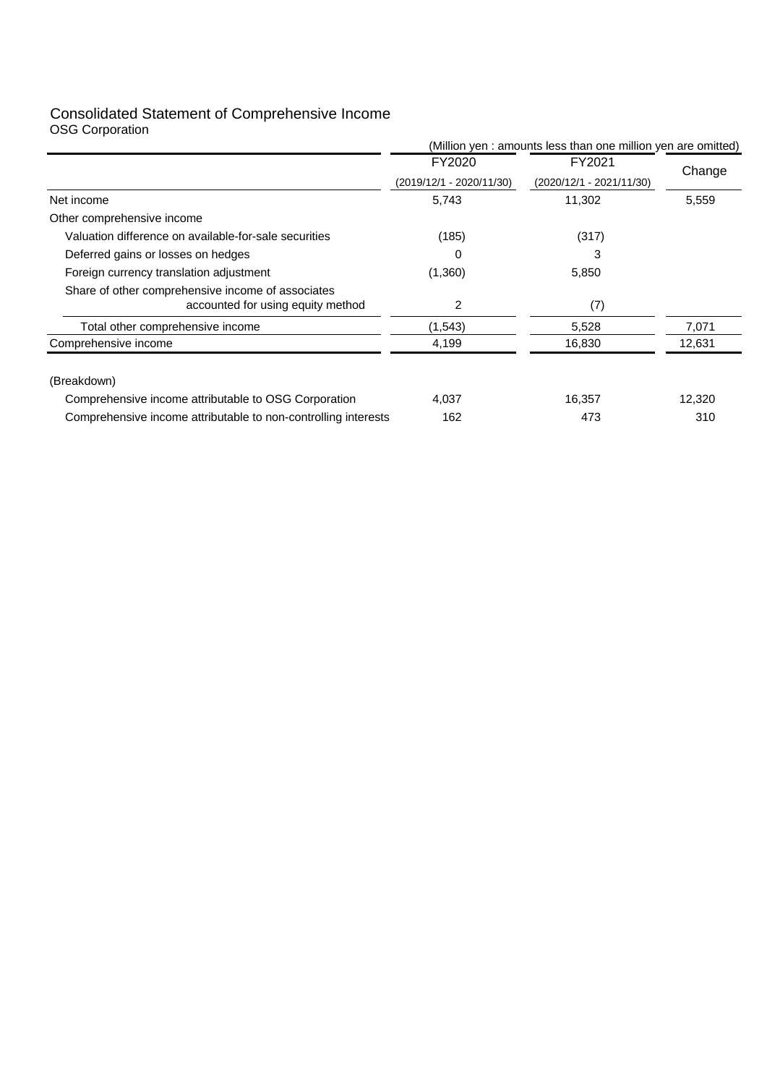### Consolidated Statement of Comprehensive Income OSG Corporation

|                                                                                        | (Million yen : amounts less than one million yen are omitted) |                          |        |
|----------------------------------------------------------------------------------------|---------------------------------------------------------------|--------------------------|--------|
|                                                                                        | FY2020                                                        | FY2021                   | Change |
|                                                                                        | (2019/12/1 - 2020/11/30)                                      | (2020/12/1 - 2021/11/30) |        |
| Net income                                                                             | 5,743                                                         | 11,302                   | 5,559  |
| Other comprehensive income                                                             |                                                               |                          |        |
| Valuation difference on available-for-sale securities                                  | (185)                                                         | (317)                    |        |
| Deferred gains or losses on hedges                                                     | 0                                                             | 3                        |        |
| Foreign currency translation adjustment                                                | (1,360)                                                       | 5,850                    |        |
| Share of other comprehensive income of associates<br>accounted for using equity method | 2                                                             | (7)                      |        |
| Total other comprehensive income                                                       | (1,543)                                                       | 5,528                    | 7,071  |
| Comprehensive income                                                                   | 4,199                                                         | 16,830                   | 12,631 |
| (Breakdown)                                                                            |                                                               |                          |        |
| Comprehensive income attributable to OSG Corporation                                   | 4,037                                                         | 16,357                   | 12,320 |
| Comprehensive income attributable to non-controlling interests                         | 162                                                           | 473                      | 310    |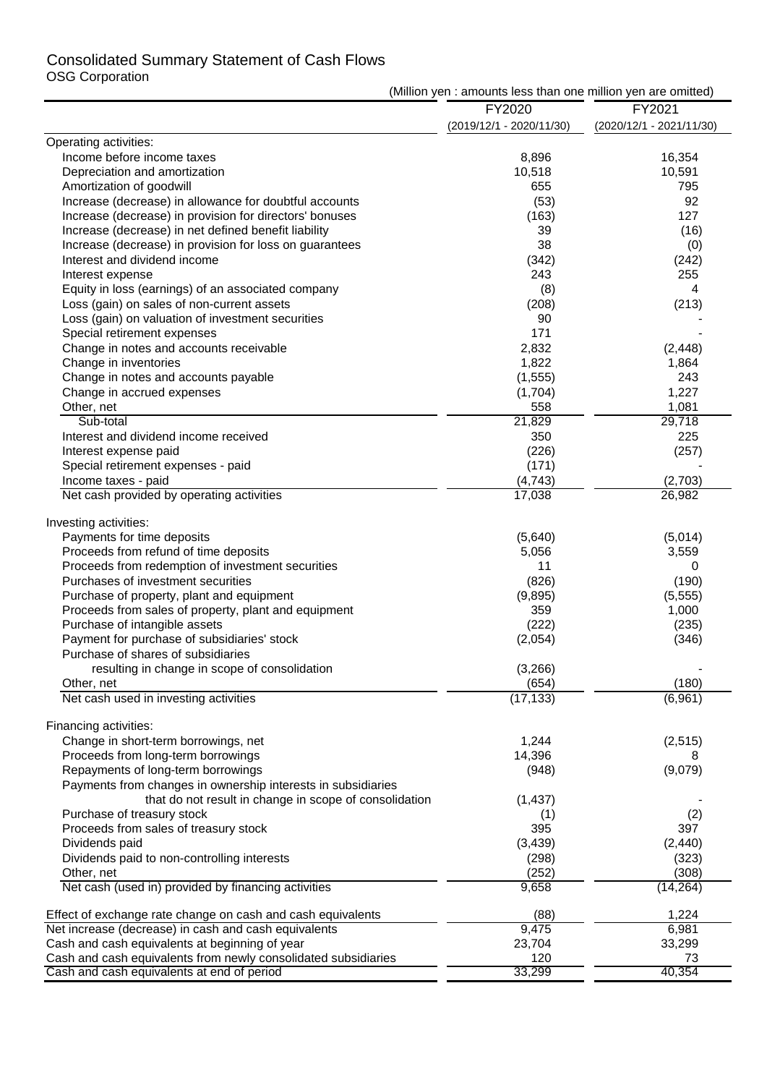# Consolidated Summary Statement of Cash Flows OSG Corporation

| FY2021<br>FY2020<br>(2019/12/1 - 2020/11/30)<br>(2020/12/1 - 2021/11/30)<br>Operating activities:<br>Income before income taxes<br>8,896<br>16,354<br>Depreciation and amortization<br>10,518<br>10,591<br>Amortization of goodwill<br>655<br>795<br>92<br>Increase (decrease) in allowance for doubtful accounts<br>(53)<br>Increase (decrease) in provision for directors' bonuses<br>(163)<br>127<br>Increase (decrease) in net defined benefit liability<br>39<br>(16)<br>38<br>Increase (decrease) in provision for loss on guarantees<br>(0)<br>Interest and dividend income<br>(342)<br>(242)<br>Interest expense<br>243<br>255<br>Equity in loss (earnings) of an associated company<br>(8)<br>4<br>Loss (gain) on sales of non-current assets<br>(213)<br>(208)<br>Loss (gain) on valuation of investment securities<br>90<br>171<br>Special retirement expenses<br>Change in notes and accounts receivable<br>2,832<br>(2, 448)<br>1,822<br>1,864<br>Change in inventories<br>Change in notes and accounts payable<br>(1, 555)<br>243<br>1,227<br>Change in accrued expenses<br>(1,704)<br>558<br>1,081<br>Other, net<br>21,829<br>29,718<br>Sub-total<br>350<br>225<br>Interest and dividend income received<br>Interest expense paid<br>(257)<br>(226)<br>Special retirement expenses - paid<br>(171)<br>(2,703)<br>Income taxes - paid<br>(4, 743)<br>Net cash provided by operating activities<br>17,038<br>26,982<br>Investing activities:<br>Payments for time deposits<br>(5,640)<br>(5,014)<br>Proceeds from refund of time deposits<br>5,056<br>3,559<br>Proceeds from redemption of investment securities<br>11<br>0<br>Purchases of investment securities<br>(826)<br>(190)<br>Purchase of property, plant and equipment<br>(9,895)<br>(5, 555)<br>Proceeds from sales of property, plant and equipment<br>359<br>1,000<br>Purchase of intangible assets<br>(222)<br>(235)<br>Payment for purchase of subsidiaries' stock<br>(2,054)<br>(346)<br>Purchase of shares of subsidiaries<br>resulting in change in scope of consolidation<br>(3,266)<br>(180)<br>(654)<br>Other, net<br>Net cash used in investing activities<br>(17, 133)<br>(6,961)<br>Financing activities:<br>Change in short-term borrowings, net<br>1,244<br>(2,515)<br>Proceeds from long-term borrowings<br>14,396<br>8<br>Repayments of long-term borrowings<br>(9,079)<br>(948)<br>Payments from changes in ownership interests in subsidiaries<br>that do not result in change in scope of consolidation<br>(1, 437)<br>Purchase of treasury stock<br>(2)<br>(1)<br>Proceeds from sales of treasury stock<br>395<br>397<br>Dividends paid<br>(3, 439)<br>(2, 440)<br>Dividends paid to non-controlling interests<br>(298)<br>(323)<br>(252)<br>(308)<br>Other, net<br>Net cash (used in) provided by financing activities<br>9,658<br>(14, 264)<br>Effect of exchange rate change on cash and cash equivalents<br>(88)<br>1,224<br>Net increase (decrease) in cash and cash equivalents<br>9,475<br>6,981<br>Cash and cash equivalents at beginning of year<br>23,704<br>33,299<br>120<br>Cash and cash equivalents from newly consolidated subsidiaries<br>73<br>40,354<br>33,299<br>Cash and cash equivalents at end of period | <b>USU COIPORATION</b> | (Million yen : amounts less than one million yen are omitted) |  |  |  |
|-----------------------------------------------------------------------------------------------------------------------------------------------------------------------------------------------------------------------------------------------------------------------------------------------------------------------------------------------------------------------------------------------------------------------------------------------------------------------------------------------------------------------------------------------------------------------------------------------------------------------------------------------------------------------------------------------------------------------------------------------------------------------------------------------------------------------------------------------------------------------------------------------------------------------------------------------------------------------------------------------------------------------------------------------------------------------------------------------------------------------------------------------------------------------------------------------------------------------------------------------------------------------------------------------------------------------------------------------------------------------------------------------------------------------------------------------------------------------------------------------------------------------------------------------------------------------------------------------------------------------------------------------------------------------------------------------------------------------------------------------------------------------------------------------------------------------------------------------------------------------------------------------------------------------------------------------------------------------------------------------------------------------------------------------------------------------------------------------------------------------------------------------------------------------------------------------------------------------------------------------------------------------------------------------------------------------------------------------------------------------------------------------------------------------------------------------------------------------------------------------------------------------------------------------------------------------------------------------------------------------------------------------------------------------------------------------------------------------------------------------------------------------------------------------------------------------------------------------------------------------------------------------------------------------------------------------------------------------------------------------------------------------------------------------------------------------------------------------------------------------------------------------------------------------------------------------------------------------------|------------------------|---------------------------------------------------------------|--|--|--|
|                                                                                                                                                                                                                                                                                                                                                                                                                                                                                                                                                                                                                                                                                                                                                                                                                                                                                                                                                                                                                                                                                                                                                                                                                                                                                                                                                                                                                                                                                                                                                                                                                                                                                                                                                                                                                                                                                                                                                                                                                                                                                                                                                                                                                                                                                                                                                                                                                                                                                                                                                                                                                                                                                                                                                                                                                                                                                                                                                                                                                                                                                                                                                                                                                             |                        |                                                               |  |  |  |
|                                                                                                                                                                                                                                                                                                                                                                                                                                                                                                                                                                                                                                                                                                                                                                                                                                                                                                                                                                                                                                                                                                                                                                                                                                                                                                                                                                                                                                                                                                                                                                                                                                                                                                                                                                                                                                                                                                                                                                                                                                                                                                                                                                                                                                                                                                                                                                                                                                                                                                                                                                                                                                                                                                                                                                                                                                                                                                                                                                                                                                                                                                                                                                                                                             |                        |                                                               |  |  |  |
|                                                                                                                                                                                                                                                                                                                                                                                                                                                                                                                                                                                                                                                                                                                                                                                                                                                                                                                                                                                                                                                                                                                                                                                                                                                                                                                                                                                                                                                                                                                                                                                                                                                                                                                                                                                                                                                                                                                                                                                                                                                                                                                                                                                                                                                                                                                                                                                                                                                                                                                                                                                                                                                                                                                                                                                                                                                                                                                                                                                                                                                                                                                                                                                                                             |                        |                                                               |  |  |  |
|                                                                                                                                                                                                                                                                                                                                                                                                                                                                                                                                                                                                                                                                                                                                                                                                                                                                                                                                                                                                                                                                                                                                                                                                                                                                                                                                                                                                                                                                                                                                                                                                                                                                                                                                                                                                                                                                                                                                                                                                                                                                                                                                                                                                                                                                                                                                                                                                                                                                                                                                                                                                                                                                                                                                                                                                                                                                                                                                                                                                                                                                                                                                                                                                                             |                        |                                                               |  |  |  |
|                                                                                                                                                                                                                                                                                                                                                                                                                                                                                                                                                                                                                                                                                                                                                                                                                                                                                                                                                                                                                                                                                                                                                                                                                                                                                                                                                                                                                                                                                                                                                                                                                                                                                                                                                                                                                                                                                                                                                                                                                                                                                                                                                                                                                                                                                                                                                                                                                                                                                                                                                                                                                                                                                                                                                                                                                                                                                                                                                                                                                                                                                                                                                                                                                             |                        |                                                               |  |  |  |
|                                                                                                                                                                                                                                                                                                                                                                                                                                                                                                                                                                                                                                                                                                                                                                                                                                                                                                                                                                                                                                                                                                                                                                                                                                                                                                                                                                                                                                                                                                                                                                                                                                                                                                                                                                                                                                                                                                                                                                                                                                                                                                                                                                                                                                                                                                                                                                                                                                                                                                                                                                                                                                                                                                                                                                                                                                                                                                                                                                                                                                                                                                                                                                                                                             |                        |                                                               |  |  |  |
|                                                                                                                                                                                                                                                                                                                                                                                                                                                                                                                                                                                                                                                                                                                                                                                                                                                                                                                                                                                                                                                                                                                                                                                                                                                                                                                                                                                                                                                                                                                                                                                                                                                                                                                                                                                                                                                                                                                                                                                                                                                                                                                                                                                                                                                                                                                                                                                                                                                                                                                                                                                                                                                                                                                                                                                                                                                                                                                                                                                                                                                                                                                                                                                                                             |                        |                                                               |  |  |  |
|                                                                                                                                                                                                                                                                                                                                                                                                                                                                                                                                                                                                                                                                                                                                                                                                                                                                                                                                                                                                                                                                                                                                                                                                                                                                                                                                                                                                                                                                                                                                                                                                                                                                                                                                                                                                                                                                                                                                                                                                                                                                                                                                                                                                                                                                                                                                                                                                                                                                                                                                                                                                                                                                                                                                                                                                                                                                                                                                                                                                                                                                                                                                                                                                                             |                        |                                                               |  |  |  |
|                                                                                                                                                                                                                                                                                                                                                                                                                                                                                                                                                                                                                                                                                                                                                                                                                                                                                                                                                                                                                                                                                                                                                                                                                                                                                                                                                                                                                                                                                                                                                                                                                                                                                                                                                                                                                                                                                                                                                                                                                                                                                                                                                                                                                                                                                                                                                                                                                                                                                                                                                                                                                                                                                                                                                                                                                                                                                                                                                                                                                                                                                                                                                                                                                             |                        |                                                               |  |  |  |
|                                                                                                                                                                                                                                                                                                                                                                                                                                                                                                                                                                                                                                                                                                                                                                                                                                                                                                                                                                                                                                                                                                                                                                                                                                                                                                                                                                                                                                                                                                                                                                                                                                                                                                                                                                                                                                                                                                                                                                                                                                                                                                                                                                                                                                                                                                                                                                                                                                                                                                                                                                                                                                                                                                                                                                                                                                                                                                                                                                                                                                                                                                                                                                                                                             |                        |                                                               |  |  |  |
|                                                                                                                                                                                                                                                                                                                                                                                                                                                                                                                                                                                                                                                                                                                                                                                                                                                                                                                                                                                                                                                                                                                                                                                                                                                                                                                                                                                                                                                                                                                                                                                                                                                                                                                                                                                                                                                                                                                                                                                                                                                                                                                                                                                                                                                                                                                                                                                                                                                                                                                                                                                                                                                                                                                                                                                                                                                                                                                                                                                                                                                                                                                                                                                                                             |                        |                                                               |  |  |  |
|                                                                                                                                                                                                                                                                                                                                                                                                                                                                                                                                                                                                                                                                                                                                                                                                                                                                                                                                                                                                                                                                                                                                                                                                                                                                                                                                                                                                                                                                                                                                                                                                                                                                                                                                                                                                                                                                                                                                                                                                                                                                                                                                                                                                                                                                                                                                                                                                                                                                                                                                                                                                                                                                                                                                                                                                                                                                                                                                                                                                                                                                                                                                                                                                                             |                        |                                                               |  |  |  |
|                                                                                                                                                                                                                                                                                                                                                                                                                                                                                                                                                                                                                                                                                                                                                                                                                                                                                                                                                                                                                                                                                                                                                                                                                                                                                                                                                                                                                                                                                                                                                                                                                                                                                                                                                                                                                                                                                                                                                                                                                                                                                                                                                                                                                                                                                                                                                                                                                                                                                                                                                                                                                                                                                                                                                                                                                                                                                                                                                                                                                                                                                                                                                                                                                             |                        |                                                               |  |  |  |
|                                                                                                                                                                                                                                                                                                                                                                                                                                                                                                                                                                                                                                                                                                                                                                                                                                                                                                                                                                                                                                                                                                                                                                                                                                                                                                                                                                                                                                                                                                                                                                                                                                                                                                                                                                                                                                                                                                                                                                                                                                                                                                                                                                                                                                                                                                                                                                                                                                                                                                                                                                                                                                                                                                                                                                                                                                                                                                                                                                                                                                                                                                                                                                                                                             |                        |                                                               |  |  |  |
|                                                                                                                                                                                                                                                                                                                                                                                                                                                                                                                                                                                                                                                                                                                                                                                                                                                                                                                                                                                                                                                                                                                                                                                                                                                                                                                                                                                                                                                                                                                                                                                                                                                                                                                                                                                                                                                                                                                                                                                                                                                                                                                                                                                                                                                                                                                                                                                                                                                                                                                                                                                                                                                                                                                                                                                                                                                                                                                                                                                                                                                                                                                                                                                                                             |                        |                                                               |  |  |  |
|                                                                                                                                                                                                                                                                                                                                                                                                                                                                                                                                                                                                                                                                                                                                                                                                                                                                                                                                                                                                                                                                                                                                                                                                                                                                                                                                                                                                                                                                                                                                                                                                                                                                                                                                                                                                                                                                                                                                                                                                                                                                                                                                                                                                                                                                                                                                                                                                                                                                                                                                                                                                                                                                                                                                                                                                                                                                                                                                                                                                                                                                                                                                                                                                                             |                        |                                                               |  |  |  |
|                                                                                                                                                                                                                                                                                                                                                                                                                                                                                                                                                                                                                                                                                                                                                                                                                                                                                                                                                                                                                                                                                                                                                                                                                                                                                                                                                                                                                                                                                                                                                                                                                                                                                                                                                                                                                                                                                                                                                                                                                                                                                                                                                                                                                                                                                                                                                                                                                                                                                                                                                                                                                                                                                                                                                                                                                                                                                                                                                                                                                                                                                                                                                                                                                             |                        |                                                               |  |  |  |
|                                                                                                                                                                                                                                                                                                                                                                                                                                                                                                                                                                                                                                                                                                                                                                                                                                                                                                                                                                                                                                                                                                                                                                                                                                                                                                                                                                                                                                                                                                                                                                                                                                                                                                                                                                                                                                                                                                                                                                                                                                                                                                                                                                                                                                                                                                                                                                                                                                                                                                                                                                                                                                                                                                                                                                                                                                                                                                                                                                                                                                                                                                                                                                                                                             |                        |                                                               |  |  |  |
|                                                                                                                                                                                                                                                                                                                                                                                                                                                                                                                                                                                                                                                                                                                                                                                                                                                                                                                                                                                                                                                                                                                                                                                                                                                                                                                                                                                                                                                                                                                                                                                                                                                                                                                                                                                                                                                                                                                                                                                                                                                                                                                                                                                                                                                                                                                                                                                                                                                                                                                                                                                                                                                                                                                                                                                                                                                                                                                                                                                                                                                                                                                                                                                                                             |                        |                                                               |  |  |  |
|                                                                                                                                                                                                                                                                                                                                                                                                                                                                                                                                                                                                                                                                                                                                                                                                                                                                                                                                                                                                                                                                                                                                                                                                                                                                                                                                                                                                                                                                                                                                                                                                                                                                                                                                                                                                                                                                                                                                                                                                                                                                                                                                                                                                                                                                                                                                                                                                                                                                                                                                                                                                                                                                                                                                                                                                                                                                                                                                                                                                                                                                                                                                                                                                                             |                        |                                                               |  |  |  |
|                                                                                                                                                                                                                                                                                                                                                                                                                                                                                                                                                                                                                                                                                                                                                                                                                                                                                                                                                                                                                                                                                                                                                                                                                                                                                                                                                                                                                                                                                                                                                                                                                                                                                                                                                                                                                                                                                                                                                                                                                                                                                                                                                                                                                                                                                                                                                                                                                                                                                                                                                                                                                                                                                                                                                                                                                                                                                                                                                                                                                                                                                                                                                                                                                             |                        |                                                               |  |  |  |
|                                                                                                                                                                                                                                                                                                                                                                                                                                                                                                                                                                                                                                                                                                                                                                                                                                                                                                                                                                                                                                                                                                                                                                                                                                                                                                                                                                                                                                                                                                                                                                                                                                                                                                                                                                                                                                                                                                                                                                                                                                                                                                                                                                                                                                                                                                                                                                                                                                                                                                                                                                                                                                                                                                                                                                                                                                                                                                                                                                                                                                                                                                                                                                                                                             |                        |                                                               |  |  |  |
|                                                                                                                                                                                                                                                                                                                                                                                                                                                                                                                                                                                                                                                                                                                                                                                                                                                                                                                                                                                                                                                                                                                                                                                                                                                                                                                                                                                                                                                                                                                                                                                                                                                                                                                                                                                                                                                                                                                                                                                                                                                                                                                                                                                                                                                                                                                                                                                                                                                                                                                                                                                                                                                                                                                                                                                                                                                                                                                                                                                                                                                                                                                                                                                                                             |                        |                                                               |  |  |  |
|                                                                                                                                                                                                                                                                                                                                                                                                                                                                                                                                                                                                                                                                                                                                                                                                                                                                                                                                                                                                                                                                                                                                                                                                                                                                                                                                                                                                                                                                                                                                                                                                                                                                                                                                                                                                                                                                                                                                                                                                                                                                                                                                                                                                                                                                                                                                                                                                                                                                                                                                                                                                                                                                                                                                                                                                                                                                                                                                                                                                                                                                                                                                                                                                                             |                        |                                                               |  |  |  |
|                                                                                                                                                                                                                                                                                                                                                                                                                                                                                                                                                                                                                                                                                                                                                                                                                                                                                                                                                                                                                                                                                                                                                                                                                                                                                                                                                                                                                                                                                                                                                                                                                                                                                                                                                                                                                                                                                                                                                                                                                                                                                                                                                                                                                                                                                                                                                                                                                                                                                                                                                                                                                                                                                                                                                                                                                                                                                                                                                                                                                                                                                                                                                                                                                             |                        |                                                               |  |  |  |
|                                                                                                                                                                                                                                                                                                                                                                                                                                                                                                                                                                                                                                                                                                                                                                                                                                                                                                                                                                                                                                                                                                                                                                                                                                                                                                                                                                                                                                                                                                                                                                                                                                                                                                                                                                                                                                                                                                                                                                                                                                                                                                                                                                                                                                                                                                                                                                                                                                                                                                                                                                                                                                                                                                                                                                                                                                                                                                                                                                                                                                                                                                                                                                                                                             |                        |                                                               |  |  |  |
|                                                                                                                                                                                                                                                                                                                                                                                                                                                                                                                                                                                                                                                                                                                                                                                                                                                                                                                                                                                                                                                                                                                                                                                                                                                                                                                                                                                                                                                                                                                                                                                                                                                                                                                                                                                                                                                                                                                                                                                                                                                                                                                                                                                                                                                                                                                                                                                                                                                                                                                                                                                                                                                                                                                                                                                                                                                                                                                                                                                                                                                                                                                                                                                                                             |                        |                                                               |  |  |  |
|                                                                                                                                                                                                                                                                                                                                                                                                                                                                                                                                                                                                                                                                                                                                                                                                                                                                                                                                                                                                                                                                                                                                                                                                                                                                                                                                                                                                                                                                                                                                                                                                                                                                                                                                                                                                                                                                                                                                                                                                                                                                                                                                                                                                                                                                                                                                                                                                                                                                                                                                                                                                                                                                                                                                                                                                                                                                                                                                                                                                                                                                                                                                                                                                                             |                        |                                                               |  |  |  |
|                                                                                                                                                                                                                                                                                                                                                                                                                                                                                                                                                                                                                                                                                                                                                                                                                                                                                                                                                                                                                                                                                                                                                                                                                                                                                                                                                                                                                                                                                                                                                                                                                                                                                                                                                                                                                                                                                                                                                                                                                                                                                                                                                                                                                                                                                                                                                                                                                                                                                                                                                                                                                                                                                                                                                                                                                                                                                                                                                                                                                                                                                                                                                                                                                             |                        |                                                               |  |  |  |
|                                                                                                                                                                                                                                                                                                                                                                                                                                                                                                                                                                                                                                                                                                                                                                                                                                                                                                                                                                                                                                                                                                                                                                                                                                                                                                                                                                                                                                                                                                                                                                                                                                                                                                                                                                                                                                                                                                                                                                                                                                                                                                                                                                                                                                                                                                                                                                                                                                                                                                                                                                                                                                                                                                                                                                                                                                                                                                                                                                                                                                                                                                                                                                                                                             |                        |                                                               |  |  |  |
|                                                                                                                                                                                                                                                                                                                                                                                                                                                                                                                                                                                                                                                                                                                                                                                                                                                                                                                                                                                                                                                                                                                                                                                                                                                                                                                                                                                                                                                                                                                                                                                                                                                                                                                                                                                                                                                                                                                                                                                                                                                                                                                                                                                                                                                                                                                                                                                                                                                                                                                                                                                                                                                                                                                                                                                                                                                                                                                                                                                                                                                                                                                                                                                                                             |                        |                                                               |  |  |  |
|                                                                                                                                                                                                                                                                                                                                                                                                                                                                                                                                                                                                                                                                                                                                                                                                                                                                                                                                                                                                                                                                                                                                                                                                                                                                                                                                                                                                                                                                                                                                                                                                                                                                                                                                                                                                                                                                                                                                                                                                                                                                                                                                                                                                                                                                                                                                                                                                                                                                                                                                                                                                                                                                                                                                                                                                                                                                                                                                                                                                                                                                                                                                                                                                                             |                        |                                                               |  |  |  |
|                                                                                                                                                                                                                                                                                                                                                                                                                                                                                                                                                                                                                                                                                                                                                                                                                                                                                                                                                                                                                                                                                                                                                                                                                                                                                                                                                                                                                                                                                                                                                                                                                                                                                                                                                                                                                                                                                                                                                                                                                                                                                                                                                                                                                                                                                                                                                                                                                                                                                                                                                                                                                                                                                                                                                                                                                                                                                                                                                                                                                                                                                                                                                                                                                             |                        |                                                               |  |  |  |
|                                                                                                                                                                                                                                                                                                                                                                                                                                                                                                                                                                                                                                                                                                                                                                                                                                                                                                                                                                                                                                                                                                                                                                                                                                                                                                                                                                                                                                                                                                                                                                                                                                                                                                                                                                                                                                                                                                                                                                                                                                                                                                                                                                                                                                                                                                                                                                                                                                                                                                                                                                                                                                                                                                                                                                                                                                                                                                                                                                                                                                                                                                                                                                                                                             |                        |                                                               |  |  |  |
|                                                                                                                                                                                                                                                                                                                                                                                                                                                                                                                                                                                                                                                                                                                                                                                                                                                                                                                                                                                                                                                                                                                                                                                                                                                                                                                                                                                                                                                                                                                                                                                                                                                                                                                                                                                                                                                                                                                                                                                                                                                                                                                                                                                                                                                                                                                                                                                                                                                                                                                                                                                                                                                                                                                                                                                                                                                                                                                                                                                                                                                                                                                                                                                                                             |                        |                                                               |  |  |  |
|                                                                                                                                                                                                                                                                                                                                                                                                                                                                                                                                                                                                                                                                                                                                                                                                                                                                                                                                                                                                                                                                                                                                                                                                                                                                                                                                                                                                                                                                                                                                                                                                                                                                                                                                                                                                                                                                                                                                                                                                                                                                                                                                                                                                                                                                                                                                                                                                                                                                                                                                                                                                                                                                                                                                                                                                                                                                                                                                                                                                                                                                                                                                                                                                                             |                        |                                                               |  |  |  |
|                                                                                                                                                                                                                                                                                                                                                                                                                                                                                                                                                                                                                                                                                                                                                                                                                                                                                                                                                                                                                                                                                                                                                                                                                                                                                                                                                                                                                                                                                                                                                                                                                                                                                                                                                                                                                                                                                                                                                                                                                                                                                                                                                                                                                                                                                                                                                                                                                                                                                                                                                                                                                                                                                                                                                                                                                                                                                                                                                                                                                                                                                                                                                                                                                             |                        |                                                               |  |  |  |
|                                                                                                                                                                                                                                                                                                                                                                                                                                                                                                                                                                                                                                                                                                                                                                                                                                                                                                                                                                                                                                                                                                                                                                                                                                                                                                                                                                                                                                                                                                                                                                                                                                                                                                                                                                                                                                                                                                                                                                                                                                                                                                                                                                                                                                                                                                                                                                                                                                                                                                                                                                                                                                                                                                                                                                                                                                                                                                                                                                                                                                                                                                                                                                                                                             |                        |                                                               |  |  |  |
|                                                                                                                                                                                                                                                                                                                                                                                                                                                                                                                                                                                                                                                                                                                                                                                                                                                                                                                                                                                                                                                                                                                                                                                                                                                                                                                                                                                                                                                                                                                                                                                                                                                                                                                                                                                                                                                                                                                                                                                                                                                                                                                                                                                                                                                                                                                                                                                                                                                                                                                                                                                                                                                                                                                                                                                                                                                                                                                                                                                                                                                                                                                                                                                                                             |                        |                                                               |  |  |  |
|                                                                                                                                                                                                                                                                                                                                                                                                                                                                                                                                                                                                                                                                                                                                                                                                                                                                                                                                                                                                                                                                                                                                                                                                                                                                                                                                                                                                                                                                                                                                                                                                                                                                                                                                                                                                                                                                                                                                                                                                                                                                                                                                                                                                                                                                                                                                                                                                                                                                                                                                                                                                                                                                                                                                                                                                                                                                                                                                                                                                                                                                                                                                                                                                                             |                        |                                                               |  |  |  |
|                                                                                                                                                                                                                                                                                                                                                                                                                                                                                                                                                                                                                                                                                                                                                                                                                                                                                                                                                                                                                                                                                                                                                                                                                                                                                                                                                                                                                                                                                                                                                                                                                                                                                                                                                                                                                                                                                                                                                                                                                                                                                                                                                                                                                                                                                                                                                                                                                                                                                                                                                                                                                                                                                                                                                                                                                                                                                                                                                                                                                                                                                                                                                                                                                             |                        |                                                               |  |  |  |
|                                                                                                                                                                                                                                                                                                                                                                                                                                                                                                                                                                                                                                                                                                                                                                                                                                                                                                                                                                                                                                                                                                                                                                                                                                                                                                                                                                                                                                                                                                                                                                                                                                                                                                                                                                                                                                                                                                                                                                                                                                                                                                                                                                                                                                                                                                                                                                                                                                                                                                                                                                                                                                                                                                                                                                                                                                                                                                                                                                                                                                                                                                                                                                                                                             |                        |                                                               |  |  |  |
|                                                                                                                                                                                                                                                                                                                                                                                                                                                                                                                                                                                                                                                                                                                                                                                                                                                                                                                                                                                                                                                                                                                                                                                                                                                                                                                                                                                                                                                                                                                                                                                                                                                                                                                                                                                                                                                                                                                                                                                                                                                                                                                                                                                                                                                                                                                                                                                                                                                                                                                                                                                                                                                                                                                                                                                                                                                                                                                                                                                                                                                                                                                                                                                                                             |                        |                                                               |  |  |  |
|                                                                                                                                                                                                                                                                                                                                                                                                                                                                                                                                                                                                                                                                                                                                                                                                                                                                                                                                                                                                                                                                                                                                                                                                                                                                                                                                                                                                                                                                                                                                                                                                                                                                                                                                                                                                                                                                                                                                                                                                                                                                                                                                                                                                                                                                                                                                                                                                                                                                                                                                                                                                                                                                                                                                                                                                                                                                                                                                                                                                                                                                                                                                                                                                                             |                        |                                                               |  |  |  |
|                                                                                                                                                                                                                                                                                                                                                                                                                                                                                                                                                                                                                                                                                                                                                                                                                                                                                                                                                                                                                                                                                                                                                                                                                                                                                                                                                                                                                                                                                                                                                                                                                                                                                                                                                                                                                                                                                                                                                                                                                                                                                                                                                                                                                                                                                                                                                                                                                                                                                                                                                                                                                                                                                                                                                                                                                                                                                                                                                                                                                                                                                                                                                                                                                             |                        |                                                               |  |  |  |
|                                                                                                                                                                                                                                                                                                                                                                                                                                                                                                                                                                                                                                                                                                                                                                                                                                                                                                                                                                                                                                                                                                                                                                                                                                                                                                                                                                                                                                                                                                                                                                                                                                                                                                                                                                                                                                                                                                                                                                                                                                                                                                                                                                                                                                                                                                                                                                                                                                                                                                                                                                                                                                                                                                                                                                                                                                                                                                                                                                                                                                                                                                                                                                                                                             |                        |                                                               |  |  |  |
|                                                                                                                                                                                                                                                                                                                                                                                                                                                                                                                                                                                                                                                                                                                                                                                                                                                                                                                                                                                                                                                                                                                                                                                                                                                                                                                                                                                                                                                                                                                                                                                                                                                                                                                                                                                                                                                                                                                                                                                                                                                                                                                                                                                                                                                                                                                                                                                                                                                                                                                                                                                                                                                                                                                                                                                                                                                                                                                                                                                                                                                                                                                                                                                                                             |                        |                                                               |  |  |  |
|                                                                                                                                                                                                                                                                                                                                                                                                                                                                                                                                                                                                                                                                                                                                                                                                                                                                                                                                                                                                                                                                                                                                                                                                                                                                                                                                                                                                                                                                                                                                                                                                                                                                                                                                                                                                                                                                                                                                                                                                                                                                                                                                                                                                                                                                                                                                                                                                                                                                                                                                                                                                                                                                                                                                                                                                                                                                                                                                                                                                                                                                                                                                                                                                                             |                        |                                                               |  |  |  |
|                                                                                                                                                                                                                                                                                                                                                                                                                                                                                                                                                                                                                                                                                                                                                                                                                                                                                                                                                                                                                                                                                                                                                                                                                                                                                                                                                                                                                                                                                                                                                                                                                                                                                                                                                                                                                                                                                                                                                                                                                                                                                                                                                                                                                                                                                                                                                                                                                                                                                                                                                                                                                                                                                                                                                                                                                                                                                                                                                                                                                                                                                                                                                                                                                             |                        |                                                               |  |  |  |
|                                                                                                                                                                                                                                                                                                                                                                                                                                                                                                                                                                                                                                                                                                                                                                                                                                                                                                                                                                                                                                                                                                                                                                                                                                                                                                                                                                                                                                                                                                                                                                                                                                                                                                                                                                                                                                                                                                                                                                                                                                                                                                                                                                                                                                                                                                                                                                                                                                                                                                                                                                                                                                                                                                                                                                                                                                                                                                                                                                                                                                                                                                                                                                                                                             |                        |                                                               |  |  |  |
|                                                                                                                                                                                                                                                                                                                                                                                                                                                                                                                                                                                                                                                                                                                                                                                                                                                                                                                                                                                                                                                                                                                                                                                                                                                                                                                                                                                                                                                                                                                                                                                                                                                                                                                                                                                                                                                                                                                                                                                                                                                                                                                                                                                                                                                                                                                                                                                                                                                                                                                                                                                                                                                                                                                                                                                                                                                                                                                                                                                                                                                                                                                                                                                                                             |                        |                                                               |  |  |  |
|                                                                                                                                                                                                                                                                                                                                                                                                                                                                                                                                                                                                                                                                                                                                                                                                                                                                                                                                                                                                                                                                                                                                                                                                                                                                                                                                                                                                                                                                                                                                                                                                                                                                                                                                                                                                                                                                                                                                                                                                                                                                                                                                                                                                                                                                                                                                                                                                                                                                                                                                                                                                                                                                                                                                                                                                                                                                                                                                                                                                                                                                                                                                                                                                                             |                        |                                                               |  |  |  |
|                                                                                                                                                                                                                                                                                                                                                                                                                                                                                                                                                                                                                                                                                                                                                                                                                                                                                                                                                                                                                                                                                                                                                                                                                                                                                                                                                                                                                                                                                                                                                                                                                                                                                                                                                                                                                                                                                                                                                                                                                                                                                                                                                                                                                                                                                                                                                                                                                                                                                                                                                                                                                                                                                                                                                                                                                                                                                                                                                                                                                                                                                                                                                                                                                             |                        |                                                               |  |  |  |
|                                                                                                                                                                                                                                                                                                                                                                                                                                                                                                                                                                                                                                                                                                                                                                                                                                                                                                                                                                                                                                                                                                                                                                                                                                                                                                                                                                                                                                                                                                                                                                                                                                                                                                                                                                                                                                                                                                                                                                                                                                                                                                                                                                                                                                                                                                                                                                                                                                                                                                                                                                                                                                                                                                                                                                                                                                                                                                                                                                                                                                                                                                                                                                                                                             |                        |                                                               |  |  |  |
|                                                                                                                                                                                                                                                                                                                                                                                                                                                                                                                                                                                                                                                                                                                                                                                                                                                                                                                                                                                                                                                                                                                                                                                                                                                                                                                                                                                                                                                                                                                                                                                                                                                                                                                                                                                                                                                                                                                                                                                                                                                                                                                                                                                                                                                                                                                                                                                                                                                                                                                                                                                                                                                                                                                                                                                                                                                                                                                                                                                                                                                                                                                                                                                                                             |                        |                                                               |  |  |  |
|                                                                                                                                                                                                                                                                                                                                                                                                                                                                                                                                                                                                                                                                                                                                                                                                                                                                                                                                                                                                                                                                                                                                                                                                                                                                                                                                                                                                                                                                                                                                                                                                                                                                                                                                                                                                                                                                                                                                                                                                                                                                                                                                                                                                                                                                                                                                                                                                                                                                                                                                                                                                                                                                                                                                                                                                                                                                                                                                                                                                                                                                                                                                                                                                                             |                        |                                                               |  |  |  |
|                                                                                                                                                                                                                                                                                                                                                                                                                                                                                                                                                                                                                                                                                                                                                                                                                                                                                                                                                                                                                                                                                                                                                                                                                                                                                                                                                                                                                                                                                                                                                                                                                                                                                                                                                                                                                                                                                                                                                                                                                                                                                                                                                                                                                                                                                                                                                                                                                                                                                                                                                                                                                                                                                                                                                                                                                                                                                                                                                                                                                                                                                                                                                                                                                             |                        |                                                               |  |  |  |
|                                                                                                                                                                                                                                                                                                                                                                                                                                                                                                                                                                                                                                                                                                                                                                                                                                                                                                                                                                                                                                                                                                                                                                                                                                                                                                                                                                                                                                                                                                                                                                                                                                                                                                                                                                                                                                                                                                                                                                                                                                                                                                                                                                                                                                                                                                                                                                                                                                                                                                                                                                                                                                                                                                                                                                                                                                                                                                                                                                                                                                                                                                                                                                                                                             |                        |                                                               |  |  |  |